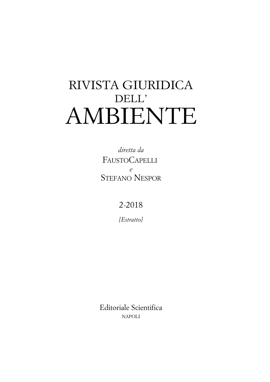# RIVISTA GIURIDICA DELL' AMBIENTE

*diretta da* FAUSTOCAPELLI *e* STEFANO NESPOR

2-2018

*[Estratto]*

Editoriale Scientifica NAPOLI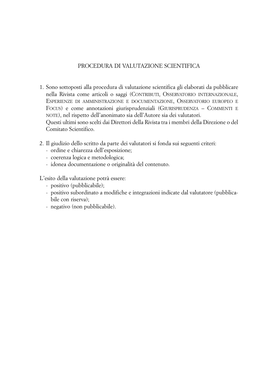## PROCEDURA DI VALUTAZIONE SCIENTIFICA

- 1. Sono sottoposti alla procedura di valutazione scientifica gli elaborati da pubblicare nella Rivista come articoli o saggi (CONTRIBUTI, OSSERVATORIO INTERNAZIONALE, ESPERIENZE DI AMMINISTRAZIONE E DOCUMENTAZIONE, OSSERVATORIO EUROPEO E FOCUS) e come annotazioni giurisprudenziali (GIURISPRUDENZA – COMMENTI E NOTE), nel rispetto dell'anonimato sia dell'Autore sia dei valutatori. Questi ultimi sono scelti dai Direttori della Rivista tra i membri della Direzione o del Comitato Scientifico.
- 2. Il giudizio dello scritto da parte dei valutatori si fonda sui seguenti criteri:
	- ordine e chiarezza dell'esposizione;
	- coerenza logica e metodologica;
	- idonea documentazione o originalità del contenuto.

L'esito della valutazione potrà essere:

- positivo (pubblicabile);
- positivo subordinato a modifiche e integrazioni indicate dal valutatore (pubblicabile con riserva);
- negativo (non pubblicabile).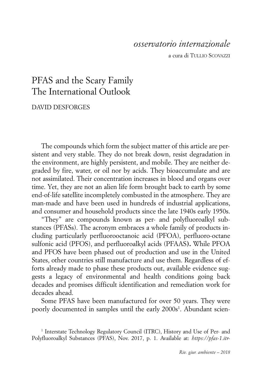# *osservatorio internazionale*

a cura di TULLIO SCOVAZZI

# PFAS and the Scary Family The International Outlook

# DAVID DESFORGES

The compounds which form the subject matter of this article are persistent and very stable. They do not break down, resist degradation in the environment, are highly persistent, and mobile. They are neither degraded by fire, water, or oil nor by acids. They bioaccumulate and are not assimilated. Their concentration increases in blood and organs over time. Yet, they are not an alien life form brought back to earth by some end-of-life satellite incompletely combusted in the atmosphere. They are man-made and have been used in hundreds of industrial applications, and consumer and household products since the late 1940s early 1950s.

"They" are compounds known as per- and polyfluoroalkyl substances (PFASs). The acronym embraces a whole family of products including particularly perfluorooctanoic acid (PFOA), perfluoro-octane sulfonic acid (PFOS), and perfluoroalkyl acids (PFAAS**).** While PFOA and PFOS have been phased out of production and use in the United States, other countries still manufacture and use them. Regardless of efforts already made to phase these products out, available evidence suggests a legacy of environmental and health conditions going back decades and promises difficult identification and remediation work for decades ahead.

Some PFAS have been manufactured for over 50 years. They were poorly documented in samples until the early 2000s<sup>1</sup>. Abundant scien-

<sup>1</sup> Interstate Technology Regulatory Council (ITRC), History and Use of Per- and Polyfluoroalkyl Substances (PFAS), Nov. 2017, p. 1. Available at: *https://pfas-1.itr-*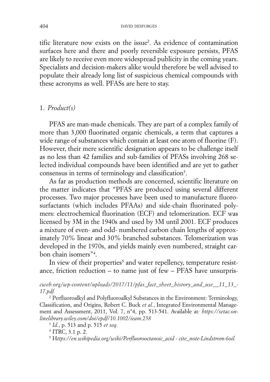tific literature now exists on the issue2 . As evidence of contamination surfaces here and there and poorly reversible exposure persists, PFAS are likely to receive even more widespread publicity in the coming years. Specialists and decision-makers alike would therefore be well advised to populate their already long list of suspicious chemical compounds with these acronyms as well. PFASs are here to stay.

#### 1. *Product(s)*

PFAS are man-made chemicals. They are part of a complex family of more than 3,000 fluorinated organic chemicals, a term that captures a wide range of substances which contain at least one atom of fluorine (F). However, their mere scientific designation appears to be challenge itself as no less than 42 families and sub-families of PFASs involving 268 selected individual compounds have been identified and are yet to gather consensus in terms of terminology and classification<sup>3</sup>.

As far as production methods are concerned, scientific literature on the matter indicates that "PFAS are produced using several different processes. Two major processes have been used to manufacture fluorosurfactants (which includes PFAAs) and side-chain fluorinated polymers: electrochemical fluorination (ECF) and telomerization. ECF was licensed by 3M in the 1940s and used by 3M until 2001. ECF produces a mixture of even- and odd- numbered carbon chain lengths of approximately 70% linear and 30% branched substances. Telomerization was developed in the 1970s, and yields mainly even numbered, straight carbon chain isomers"4 .

In view of their properties<sup>5</sup> and water repellency, temperature resistance, friction reduction – to name just of few – PFAS have unsurpris-

*cweb.org/wp-content/uploads/2017/11/pfas\_fact\_sheet\_history\_ and\_use\_\_11\_ 13\_ - 17.pdf.* 

<sup>2</sup> Perfluoroalkyl and Polyfluoroalkyl Substances in the Environment: Terminology, Classification, and Origins, Robert C. Buck *et al.*, Integrated Environmental Management and Assessment, 2011, Vol. 7, n°4, pp. 513-541. Available at*: https://setac.onlinelibrary.wiley.com/doi/epdf/10.1002/ieam.258* 

<sup>3</sup> *Id.*, p. 513 and p. 515 *et seq.* 

<sup>4</sup> ITRC, 3.1 p. 2.

<sup>5</sup> H*ttps://en.wikipedia.org/wiki/Perfluorooctanoic\_acid - cite\_note-Lindstrom-6oil.*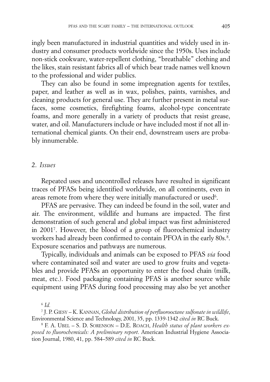ingly been manufactured in industrial quantities and widely used in industry and consumer products worldwide since the 1950s. Uses include non-stick cookware, water-repellent clothing, "breathable" clothing and the likes, stain resistant fabrics all of which bear trade names well known to the professional and wider publics.

They can also be found in some impregnation agents for textiles, paper, and leather as well as in wax, polishes, paints, varnishes, and cleaning products for general use. They are further present in metal surfaces, some cosmetics, firefighting foams, alcohol-type concentrate foams, and more generally in a variety of products that resist grease, water, and oil. Manufacturers include or have included most if not all international chemical giants. On their end, downstream users are probably innumerable.

## 2. *Issues*

Repeated uses and uncontrolled releases have resulted in significant traces of PFASs being identified worldwide, on all continents, even in areas remote from where they were initially manufactured or used $6$ .

PFAS are pervasive. They can indeed be found in the soil, water and air. The environment, wildlife and humans are impacted. The first demonstration of such general and global impact was first administered in 20017 . However, the blood of a group of fluorochemical industry workers had already been confirmed to contain PFOA in the early 80s.8 . Exposure scenarios and pathways are numerous.

Typically, individuals and animals can be exposed to PFAS *via* food where contaminated soil and water are used to grow fruits and vegetables and provide PFASs an opportunity to enter the food chain (milk, meat, etc.). Food packaging containing PFAS is another source while equipment using PFAS during food processing may also be yet another

 $6$   $Id.$ 

<sup>7</sup> J. P. GIESY – K. KANNAN, *Global distribution of perfluorooctane sulfonate in wildlife*,

Environmental Science and Technology, 2001, 35, pp. 1339-1342 *cited in* RC Buck.<br><sup>8</sup> F. A. UBEL – S. D. SORENSON – D.E. ROACH, *Health status of plant workers exposed to fluorochemicals: A preliminary report*. American Industrial Hygiene Association Journal, 1980, 41, pp. 584–589 *cited in* RC Buck.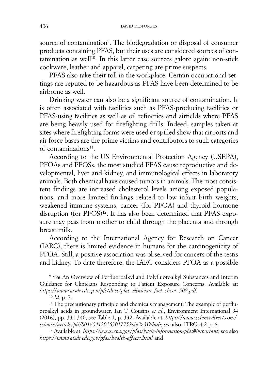source of contamination<sup>9</sup>. The biodegradation or disposal of consumer products containing PFAS, but their uses are considered sources of con $t$ amination as well<sup>10</sup>. In this latter case sources galore again: non-stick cookware, leather and apparel, carpeting are prime suspects.

PFAS also take their toll in the workplace. Certain occupational settings are reputed to be hazardous as PFAS have been determined to be airborne as well.

Drinking water can also be a significant source of contamination. It is often associated with facilities such as PFAS-producing facilities or PFAS-using facilities as well as oil refineries and airfields where PFAS are being heavily used for firefighting drills. Indeed, samples taken at sites where firefighting foams were used or spilled show that airports and air force bases are the prime victims and contributors to such categories of contaminations<sup>11</sup>.

According to the US Environmental Protection Agency (USEPA), PFOAs and PFOSs, the most studied PFAS cause reproductive and developmental, liver and kidney, and immunological effects in laboratory animals. Both chemical have caused tumors in animals. The most consistent findings are increased cholesterol levels among exposed populations, and more limited findings related to low infant birth weights, weakened immune systems, cancer (for PFOA) and thyroid hormone disruption (for PFOS)<sup>12</sup>. It has also been determined that PFAS exposure may pass from mother to child through the placenta and through breast milk.

According to the International Agency for Research on Cancer (IARC), there is limited evidence in humans for the carcinogenicity of PFOA. Still, a positive association was observed for cancers of the testis and kidney. To date therefore, the IARC considers PFOA as a possible

<sup>9</sup> S*ee* An Overview of Perfluoroalkyl and Polyfluoroalkyl Substances and Interim Guidance for Clinicians Responding to Patient Exposure Concerns. Available at: *https://www.atsdr.cdc.gov/pfc/docs/pfas\_clinician\_fact\_sheet\_508.pdf.*

<sup>10</sup> *Id*. p. 7.<br><sup>11</sup> The precautionary principle and chemicals management: The example of perfluoroalkyl acids in groundwater, Ian T. Cousins *et al.*, Environment International 94 (2016), pp. 331-340, see Table 1, p. 332. Available at: *https://www.sciencedirect.com/ science/article/pii/S0160412016301775?via%3Dihub*; *see* also, ITRC, 4.2 p. 6.

<sup>12</sup> Available at: *https://www.epa.gov/pfas/basic-information-pfas#important*; see also *https://www.atsdr.cdc.gov/pfas/health-effects.html* and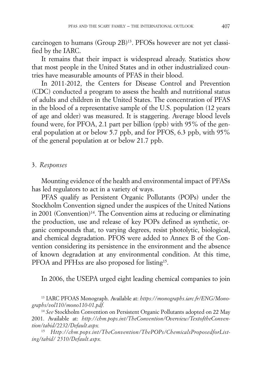carcinogen to humans (Group 2B)13. PFOSs however are not yet classified by the IARC.

It remains that their impact is widespread already. Statistics show that most people in the United States and in other industrialized countries have measurable amounts of PFAS in their blood.

In 2011-2012, the Centers for Disease Control and Prevention (CDC) conducted a program to assess the health and nutritional status of adults and children in the United States. The concentration of PFAS in the blood of a representative sample of the U.S. population (12 years of age and older) was measured. It is staggering. Average blood levels found were, for PFOA, 2.1 part per billion (ppb) with 95% of the general population at or below 5.7 ppb, and for PFOS, 6.3 ppb, with 95% of the general population at or below 21.7 ppb.

# 3. *Responses*

Mounting evidence of the health and environmental impact of PFASs has led regulators to act in a variety of ways.

PFAS qualify as Persistent Organic Pollutants (POPs) under the Stockholm Convention signed under the auspices of the United Nations in 2001 (Convention)<sup>14</sup>. The Convention aims at reducing or eliminating the production, use and release of key POPs defined as synthetic, organic compounds that, to varying degrees, resist photolytic, biological, and chemical degradation. PFOS were added to Annex B of the Convention considering its persistence in the environment and the absence of known degradation at any environmental condition. At this time, PFOA and PFHxs are also proposed for listing<sup>15</sup>.

In 2006, the USEPA urged eight leading chemical companies to join

<sup>13</sup> IARC PFOAS Monograph. Available at: *https://monographs.iarc.fr/ENG/Monographs/vol110/mono110-01.pdf.*

<sup>14</sup> See Stockholm Convention on Persistent Organic Pollutants adopted on 22 May 2001. Available at: *http://chm.pops.int/TheConvention/Overview/TextoftheConvention/tabid/2232/Default.aspx.* 

15 *Http://chm.pops.int/TheConvention/ThePOPs/ChemicalsProposedforListing/tabid/ 2510/ Default. aspx.*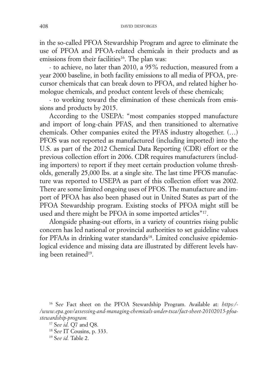in the so-called PFOA Stewardship Program and agree to eliminate the use of PFOA and PFOA-related chemicals in their products and as emissions from their facilities<sup>16</sup>. The plan was:

- to achieve, no later than 2010, a 95% reduction, measured from a year 2000 baseline, in both facility emissions to all media of PFOA, precursor chemicals that can break down to PFOA, and related higher homologue chemicals, and product content levels of these chemicals;

- to working toward the elimination of these chemicals from emissions and products by 2015.

According to the USEPA: "most companies stopped manufacture and import of long-chain PFAS, and then transitioned to alternative chemicals. Other companies exited the PFAS industry altogether. (…) PFOS was not reported as manufactured (including imported) into the U.S. as part of the 2012 Chemical Data Reporting (CDR) effort or the previous collection effort in 2006. CDR requires manufacturers (including importers) to report if they meet certain production volume thresholds, generally 25,000 lbs. at a single site. The last time PFOS manufacture was reported to USEPA as part of this collection effort was 2002. There are some limited ongoing uses of PFOS. The manufacture and import of PFOA has also been phased out in United States as part of the PFOA Stewardship program. Existing stocks of PFOA might still be used and there might be PFOA in some imported articles"<sup>17</sup>.

Alongside phasing-out efforts, in a variety of countries rising public concern has led national or provincial authorities to set guideline values for PFAAs in drinking water standards<sup>18</sup>. Limited conclusive epidemiological evidence and missing data are illustrated by different levels having been retained<sup>19</sup>.

<sup>16</sup> S*ee* Fact sheet on the PFOA Stewardship Program. Available at: *https:/ - /www.epa.gov/assessing-and-managing-chemicals-under-tsca/fact-sheet-20102015-pfoastewardship-program.* 

<sup>17</sup> <sup>S</sup>*ee id.* Q7 and Q8. 18 <sup>S</sup>*ee* IT Cousins, p. 333. 19 <sup>S</sup>*ee id.* Table 2.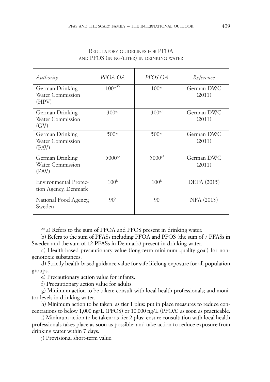ſ

| REGULATORY GUIDELINES FOR PFOA<br>AND PFOS (IN NG/LITER) IN DRINKING WATER |                          |                      |                      |  |  |
|----------------------------------------------------------------------------|--------------------------|----------------------|----------------------|--|--|
| Authority                                                                  | PFOA OA                  | PFOS OA              | Reference            |  |  |
| German Drinking<br><b>Water Commission</b><br>(HPV)                        | $100^{ac}$ <sup>20</sup> | 100 <sup>ac</sup>    | German DWC<br>(2011) |  |  |
| German Drinking<br>Water Commission<br>(GV)                                | 300 <sup>ad</sup>        | 300 <sup>ad</sup>    | German DWC<br>(2011) |  |  |
| German Drinking<br><b>Water Commission</b><br>(PAV)                        | $500$ <sup>ae</sup>      | $500$ <sup>ae</sup>  | German DWC<br>(2011) |  |  |
| German Drinking<br><b>Water Commission</b><br>(PAV)                        | $5000$ <sup>ac</sup>     | $5000$ <sup>af</sup> | German DWC<br>(2011) |  |  |
| <b>Environmental Protec-</b><br>tion Agency, Denmark                       | 100 <sup>b</sup>         | 100 <sup>b</sup>     | <b>DEPA</b> (2015)   |  |  |
| National Food Agency,<br>Sweden                                            | 90 <sup>b</sup>          | 90                   | NFA (2013)           |  |  |

 $20$  a) Refers to the sum of PFOA and PFOS present in drinking water.

b) Refers to the sum of PFASs including PFOA and PFOS (the sum of 7 PFASs in Sweden and the sum of 12 PFASs in Denmark) present in drinking water.

c) Health-based precautionary value (long-term minimum quality goal) for nongenotoxic substances.

d) Strictly health-based guidance value for safe lifelong exposure for all population groups.

e) Precautionary action value for infants.

f) Precautionary action value for adults.

g) Minimum action to be taken: consult with local health professionals; and monitor levels in drinking water.

h) Minimum action to be taken: as tier 1 plus: put in place measures to reduce concentrations to below 1,000 ng/L (PFOS) or 10,000 ng/L (PFOA) as soon as practicable.

i) Minimum action to be taken: as tier 2 plus: ensure consultation with local health professionals takes place as soon as possible; and take action to reduce exposure from drinking water within 7 days.

j) Provisional short-term value.

٦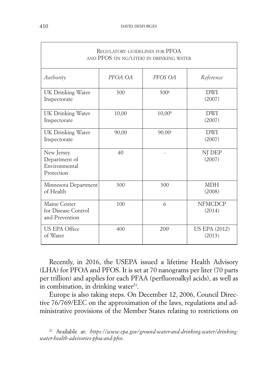| <b>REGULATORY GUIDELINES FOR PFOA</b><br>AND PFOS (IN NG/LITER) IN DRINKING WATER |         |                  |                                |  |
|-----------------------------------------------------------------------------------|---------|------------------|--------------------------------|--|
| Authority                                                                         | PFOA OA | PFOS OA          | Reference                      |  |
| UK Drinking Water<br>Inspectorate                                                 | 300     | 300 <sup>g</sup> | <b>DWI</b><br>(2007)           |  |
| UK Drinking Water<br>Inspectorate                                                 | 10,00   | $10,00^{\rm h}$  | <b>DWI</b><br>(2007)           |  |
| UK Drinking Water<br>Inspectorate                                                 | 90,00   | $90.00^{i}$      | <b>DWI</b><br>(2007)           |  |
| New Jersey<br>Department of<br>Environmental<br>Protection                        | 40      |                  | NJ DEP<br>(2007)               |  |
| Minnesota Department<br>of Health                                                 | 300     | 300              | <b>MDH</b><br>(2008)           |  |
| Maine Center<br>for Disease Control<br>and Prevention                             | 100     | 6                | <b>NFMCDCP</b><br>(2014)       |  |
| <b>US EPA Office</b><br>of Water                                                  | 400     | 200 <sup>j</sup> | <b>US EPA (2012)</b><br>(2013) |  |

Recently, in 2016, the USEPA issued a lifetime Health Advisory (LHA) for PFOA and PFOS. It is set at 70 nanograms per liter (70 parts per trillion) and applies for each PFAA (perfluoroalkyl acids), as well as in combination, in drinking water $2<sup>1</sup>$ .

Europe is also taking steps. On December 12, 2006, Council Directive 76/769/EEC on the approximation of the laws, regulations and administrative provisions of the Member States relating to restrictions on

 $\sqrt{ }$ 

<sup>21</sup> Available at: *https://www.epa.gov/ground-water-and-drinking-water/drinkingwater- health-advisories-pfoa-and-pfos.*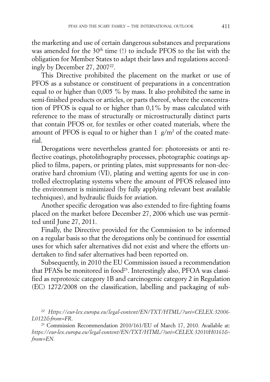the marketing and use of certain dangerous substances and preparations was amended for the 30<sup>th</sup> time (!) to include PFOS to the list with the obligation for Member States to adapt their laws and regulations accordingly by December 27, 2007<sup>22</sup>.

This Directive prohibited the placement on the market or use of PFOS as a substance or constituent of preparations in a concentration equal to or higher than 0,005 % by mass. It also prohibited the same in semi-finished products or articles, or parts thereof, where the concentration of PFOS is equal to or higher than 0,1% by mass calculated with reference to the mass of structurally or microstructurally distinct parts that contain PFOS or, for textiles or other coated materials, where the amount of PFOS is equal to or higher than  $1 \text{ g/m}^2$  of the coated material.

Derogations were nevertheless granted for: photoresists or anti reflective coatings, photolithography processes, photographic coatings applied to films, papers, or printing plates, mist suppressants for non-decorative hard chromium (VI), plating and wetting agents for use in controlled electroplating systems where the amount of PFOS released into the environment is minimized (by fully applying relevant best available techniques), and hydraulic fluids for aviation.

Another specific derogation was also extended to fire-fighting foams placed on the market before December 27, 2006 which use was permitted until June 27, 2011.

Finally, the Directive provided for the Commission to be informed on a regular basis so that the derogations only be continued for essential uses for which safer alternatives did not exist and where the efforts undertaken to find safer alternatives had been reported on.

Subsequently, in 2010 the EU Commission issued a recommendation that PFASs be monitored in food<sup>23</sup>. Interestingly also, PFOA was classified as reprotoxic category 1B and carcinogenic category 2 in Regulation (EC) 1272/2008 on the classification, labelling and packaging of sub-

<sup>22</sup> *Https://eur-lex.europa.eu/legal-content/EN/TXT/HTML/?uri= CELEX: 32006 - L0122 &from=FR*.

<sup>23</sup> Commission Recommendation 2010/161/EU of March 17, 2010. Available at: *https://eur-lex.europa.eu/legal-content/EN/TXT/HTML/ ?uri= CELEX:32010H0161& from=EN.*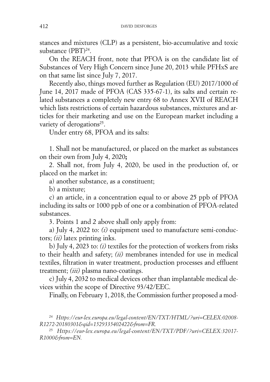stances and mixtures (CLP) as a persistent, bio-accumulative and toxic substance (PBT)24.

On the REACH front, note that PFOA is on the candidate list of Substances of Very High Concern since June 20, 2013 while PFHxS are on that same list since July 7, 2017.

Recently also, things moved further as Regulation (EU) 2017/1000 of June 14, 2017 made of PFOA (CAS 335-67-1), its salts and certain related substances a completely new entry 68 to Annex XVII of REACH which lists restrictions of certain hazardous substances, mixtures and articles for their marketing and use on the European market including a variety of derogations<sup>25</sup>.

Under entry 68, PFOA and its salts:

1. Shall not be manufactured, or placed on the market as substances on their own from July 4, 2020**;**

2. Shall not, from July 4, 2020, be used in the production of, or placed on the market in:

a) another substance, as a constituent;

b) a mixture;

c) an article, in a concentration equal to or above 25 ppb of PFOA including its salts or 1000 ppb of one or a combination of PFOA-related substances.

3. Points 1 and 2 above shall only apply from:

a) July 4, 2022 to: *(i)* equipment used to manufacture semi-conductors; *(ii)* latex printing inks.

b) July 4, 2023 to: *(i)* textiles for the protection of workers from risks to their health and safety; *(ii)* membranes intended for use in medical textiles, filtration in water treatment, production processes and effluent treatment; *(iii)* plasma nano-coatings.

c) July 4, 2032 to medical devices other than implantable medical devices within the scope of Directive 93/42/EEC.

Finally, on February 1, 2018, the Commission further proposed a mod-

<sup>24</sup> *Https://eur-lex.europa.eu/legal-content/EN/TXT/HTML/?uri=CELEX: 02008 - R1272 -20180301&qid= 1529335402422 &from=FR.* 

<sup>25</sup> *Https://eur-lex.europa.eu/legal-content/EN/TXT/PDF/?uri= CELEX: 32017 - R1000& from=EN.*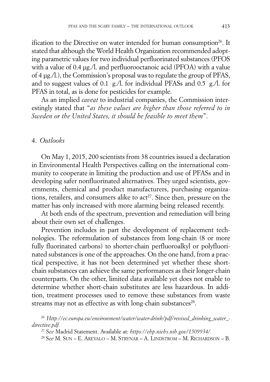ification to the Directive on water intended for human consumption<sup>26</sup>. It stated that although the World Health Organization recommended adopting parametric values for two individual perfluorinated substances (PFOS with a value of 0.4 µg./l. and perfluorooctanoic acid (PFOA) with a value of 4 µg./l.), the Commission's proposal was to regulate the group of PFAS, and to suggest values of 0.1 g./l. for individual PFASs and 0.5 g./l. for PFAS in total, as is done for pesticides for example.

As an implied *caveat* to industrial companies, the Commission interestingly stated that "*as these values are higher than those referred to in Sweden or the United States, it should be feasible to meet them*".

# 4. *Outlooks*

On May 1, 2015, 200 scientists from 38 countries issued a declaration in Environmental Health Perspectives calling on the international community to cooperate in limiting the production and use of PFASs and in developing safer nonfluorinated alternatives. They urged scientists, governments, chemical and product manufacturers, purchasing organizations, retailers, and consumers alike to act<sup>27</sup>. Since then, pressure on the matter has only increased with more alarming being released recently.

At both ends of the spectrum, prevention and remediation will bring about their own set of challenges.

Prevention includes in part the development of replacement technologies. The reformulation of substances from long-chain (8 or more fully fluorinated carbons) to shorter-chain perfluoroalkyl or polyfluorinated substances is one of the approaches. On the one hand, from a practical perspective, it has not been determined yet whether these shortchain substances can achieve the same performances as their longer-chain counterparts. On the other, limited data available yet does not enable to determine whether short-chain substitutes are less hazardous. In addition, treatment processes used to remove these substances from waste streams may not as effective as with long-chain substances<sup>28</sup>.

<sup>26</sup> *Http://ec.europa.eu/environment/water/water-drink/pdf/revised\_drinking\_ water \_ directive.pdf.*

<sup>27</sup> S*ee* Madrid Statement. Available at: *https://ehp.niehs.nih.gov/1509934/.* 

<sup>28</sup> S*ee* M. SUN – E. AREVALO – M. STRYNAR – A. LINDSTROM – M. RICHARDSON – B.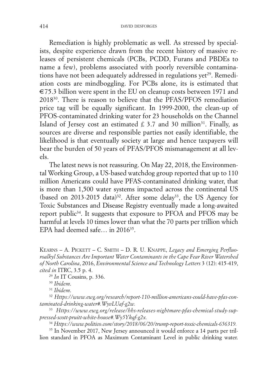Remediation is highly problematic as well. As stressed by specialists, despite experience drawn from the recent history of massive releases of persistent chemicals (PCBs, PCDD, Furans and PBDEs to name a few), problems associated with poorly reversible contaminations have not been adequately addressed in regulations yet<sup>29</sup>. Remediation costs are mindboggling. For PCBs alone, its is estimated that €75.3 billion were spent in the EU on cleanup costs between 1971 and 201830. There is reason to believe that the PFAS/PFOS remediation price tag will be equally significant. In 1999-2000, the clean-up of PFOS-contaminated drinking water for 23 households on the Channel Island of Jersey cost an estimated  $£ 3.7$  and 30 million<sup>31</sup>. Finally, as sources are diverse and responsible parties not easily identifiable, the likelihood is that eventually society at large and hence taxpayers will bear the burden of 50 years of PFAS/PFOS mismanagement at all levels.

The latest news is not reassuring. On May 22, 2018, the Environmental Working Group, a US-based watchdog group reported that up to 110 million Americans could have PFAS-contaminated drinking water, that is more than 1,500 water systems impacted across the continental US (based on 2013-2015 data)<sup>32</sup>. After some delay<sup>33</sup>, the US Agency for Toxic Substances and Disease Registry eventually made a long-awaited report public<sup>34</sup>. It suggests that exposure to PFOA and PFOS may be harmful at levels 10 times lower than what the 70 parts per trillion which EPA had deemed safe... in 2016<sup>35</sup>.

KEARNS – A. PICKETT – C. SMITH – D. R. U. KNAPPE, *Legacy and Emerging Perfluoroalkyl Substances Are Important Water Contaminants in the Cape Fear River Watershed of North Carolina*, 2016, *Environmental Science and Technology Letters* 3 (12): 415-419, *cited in* ITRC, 3.5 p. 4. 29 *In* IT Cousins, p. 336. 30 *Ibidem*.

<sup>31</sup> *Ibidem*.

<sup>32</sup> *Https://www.ewg.org/research/report-110-million-americans-could-have-pfas-contaminated-drinking-water#.WyvLUaf-g2w.* 

<sup>33</sup> *Https://www.ewg.org/release/hhs-releases-nightmare-pfas-chemical-study-suppressed- scott-pruitt-white-house#.Wy5Ykqf-g2x.* 

<sup>34</sup> *Https://www.politico.com/story/2018/06/20/trump-report-toxic-chemicals-656319.* 

<sup>35</sup> In November 2017, New Jersey announced it would enforce a 14 parts per trillion standard in PFOA as Maximum Contaminant Level in public drinking water.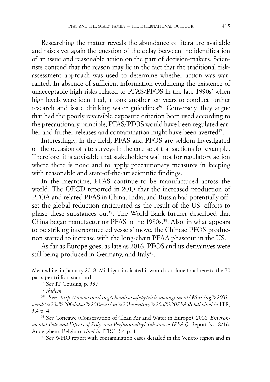Researching the matter reveals the abundance of literature available and raises yet again the question of the delay between the identification of an issue and reasonable action on the part of decision-makers. Scientists contend that the reason may lie in the fact that the traditional riskassessment approach was used to determine whether action was warranted. In absence of sufficient information evidencing the existence of unacceptable high risks related to PFAS/PFOS in the late 1990s' when high levels were identified, it took another ten years to conduct further research and issue drinking water guidelines<sup>36</sup>. Conversely, they argue that had the poorly reversible exposure criterion been used according to the precautionary principle, PFAS/PFOS would have been regulated earlier and further releases and contamination might have been averted<sup>37</sup>.

Interestingly, in the field, PFAS and PFOS are seldom investigated on the occasion of site surveys in the course of transactions for example. Therefore, it is advisable that stakeholders wait not for regulatory action where there is none and to apply precautionary measures in keeping with reasonable and state-of-the-art scientific findings.

In the meantime, PFAS continue to be manufactured across the world. The OECD reported in 2015 that the increased production of PFOA and related PFAS in China, India, and Russia had potentially offset the global reduction anticipated as the result of the US' efforts to phase these substances out<sup>38</sup>. The World Bank further described that China began manufacturing PFAS in the 1980s.<sup>39</sup>. Also, in what appears to be striking interconnected vessels' move, the Chinese PFOS production started to increase with the long-chain PFAA phaseout in the US.

As far as Europe goes, as late as 2016, PFOS and its derivatives were still being produced in Germany, and Italy<sup>40</sup>.

Meanwhile, in January 2018, Michigan indicated it would continue to adhere to the 70 parts per trillion standard.

<sup>36</sup> <sup>S</sup>*ee* IT Cousins, p. 337. 37 *ibidem.*

<sup>38</sup> See *http://www.oecd.org/chemicalsafety/risk-management/Working%20Towards%20a%20Global%20Emission%20Inventory%20of%20PFASS.pdf cited in* ITR, 3.4 p. 4.

<sup>39</sup> S*ee* Concawe (Conservation of Clean Air and Water in Europe). 2016. *Environmental Fate and Effects of Poly- and Perfluoroalkyl Substances (PFAS)*. Report No. 8/16. Auderghem, Belgium, *cited in* ITRC, 3.4 p. 4.<br><sup>40</sup> See WHO report with contamination cases detailed in the Veneto region and in